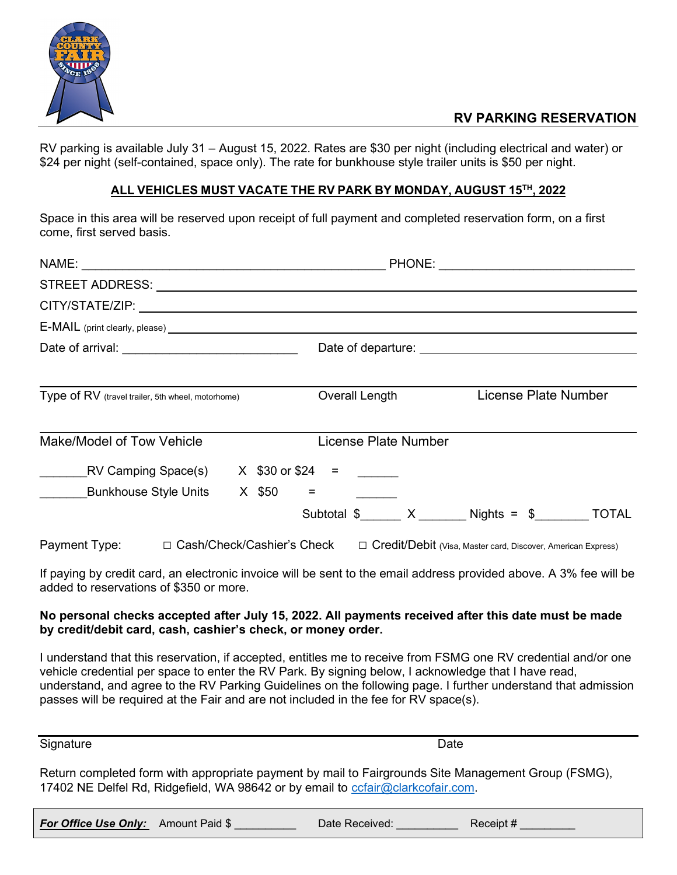

## RV PARKING RESERVATION

RV parking is available July 31 – August 15, 2022. Rates are \$30 per night (including electrical and water) or \$24 per night (self-contained, space only). The rate for bunkhouse style trailer units is \$50 per night.

## ALL VEHICLES MUST VACATE THE RV PARK BY MONDAY, AUGUST 15TH , 2022

Space in this area will be reserved upon receipt of full payment and completed reservation form, on a first come, first served basis.

| Type of RV (travel trailer, 5th wheel, motorhome) |  |                              |                                                      | Overall Length |                                                                | License Plate Number |  |
|---------------------------------------------------|--|------------------------------|------------------------------------------------------|----------------|----------------------------------------------------------------|----------------------|--|
| Make/Model of Tow Vehicle                         |  |                              | License Plate Number                                 |                |                                                                |                      |  |
|                                                   |  |                              | EV Camping Space(s) $X$ \$30 or \$24 = $\frac{1}{2}$ |                |                                                                |                      |  |
| Bunkhouse Style Units $X$ \$50 =                  |  |                              |                                                      |                |                                                                |                      |  |
|                                                   |  |                              |                                                      |                | Subtotal $\$$ X Nights = $\$$ TOTAL                            |                      |  |
| Payment Type:                                     |  | □ Cash/Check/Cashier's Check |                                                      |                | □ Credit/Debit (Visa, Master card, Discover, American Express) |                      |  |

If paying by credit card, an electronic invoice will be sent to the email address provided above. A 3% fee will be added to reservations of \$350 or more.

## No personal checks accepted after July 15, 2022. All payments received after this date must be made by credit/debit card, cash, cashier's check, or money order.

I understand that this reservation, if accepted, entitles me to receive from FSMG one RV credential and/or one vehicle credential per space to enter the RV Park. By signing below, I acknowledge that I have read, understand, and agree to the RV Parking Guidelines on the following page. I further understand that admission passes will be required at the Fair and are not included in the fee for RV space(s).

Signature Date Date of the Date of the Date of the Date of the Date of the Date of the Date of the Date of the Date of the Date of the Date of the Date of the Date of the Date of the Date of the Date of the Date of the Dat

Return completed form with appropriate payment by mail to Fairgrounds Site Management Group (FSMG), 17402 NE Delfel Rd, Ridgefield, WA 98642 or by email to ccfair@clarkcofair.com.

| For Office Use Only: Amount Paid \$ | Date Received: | Receipt # |
|-------------------------------------|----------------|-----------|
|-------------------------------------|----------------|-----------|